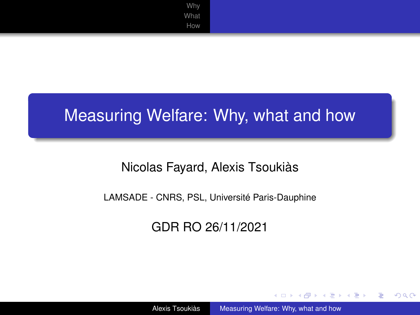[Why](#page-2-0) [What](#page-5-0) [How](#page-7-0)

### <span id="page-0-0"></span>Measuring Welfare: Why, what and how

### Nicolas Fayard, Alexis Tsoukiàs

#### LAMSADE - CNRS, PSL, Université Paris-Dauphine

### GDR RO 26/11/2021

イロト イ押 トイヨ トイヨト

÷.

 $2Q$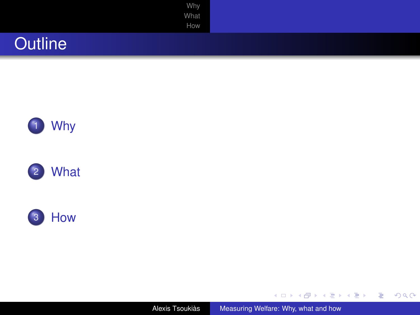| Why<br>What    |  |
|----------------|--|
| How            |  |
| <b>Outline</b> |  |







Alexis Tsoukiàs [Measuring Welfare: Why, what and how](#page-0-0)

 $\equiv$  990

メロトメ 倒 トメ ミトメ ミト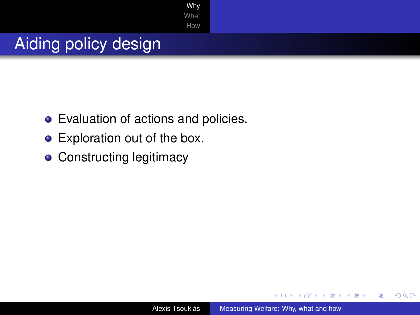[Why](#page-2-0) [What](#page-5-0) [How](#page-7-0)

# <span id="page-2-0"></span>Aiding policy design

- Evaluation of actions and policies.
- Exploration out of the box.
- **Constructing legitimacy**

 $A\cong A\rightarrow A\cong A$ 

4 伊 ▶

4 0 8

 $2990$ 

÷.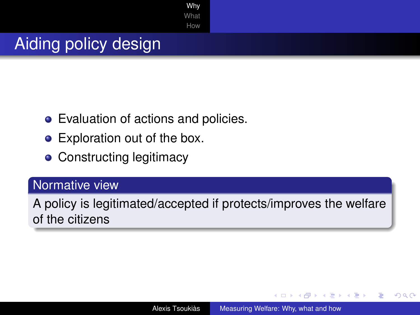[Why](#page-2-0) **[What](#page-5-0)** [How](#page-7-0)

# Aiding policy design

- Evaluation of actions and policies.
- Exploration out of the box.
- Constructing legitimacy

### Normative view

A policy is legitimated/accepted if protects/improves the welfare of the citizens

 $($   $\Box$   $)$   $($   $\Box$   $)$ 

メラメメラト

 $2990$ 

B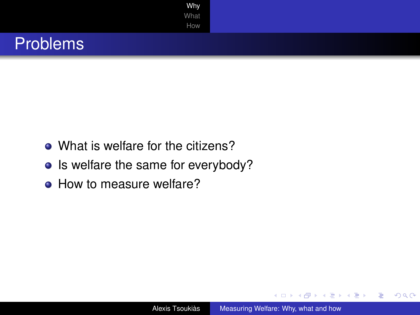

- What is welfare for the citizens?
- Is welfare the same for everybody?
- How to measure welfare?

イロメ 不優 トメ ヨ メ ス ヨ メー

÷.

 $2990$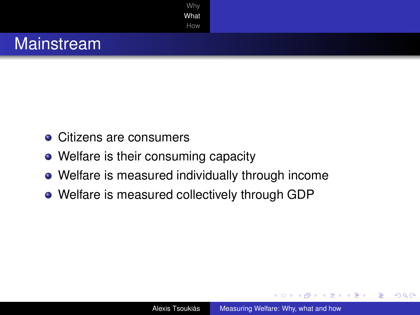<span id="page-5-0"></span>

- Citizens are consumers
- Welfare is their consuming capacity
- Welfare is measured individually through income
- Welfare is measured collectively through GDP

K 何 ▶ K ヨ ▶ K ヨ ▶ ..

÷.

 $2Q$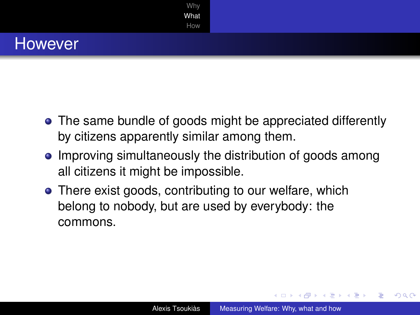

- The same bundle of goods might be appreciated differently by citizens apparently similar among them.
- Improving simultaneously the distribution of goods among all citizens it might be impossible.
- There exist goods, contributing to our welfare, which belong to nobody, but are used by everybody: the commons.

イロメ イ押 メイヨメ イヨメ

 $2990$ 

B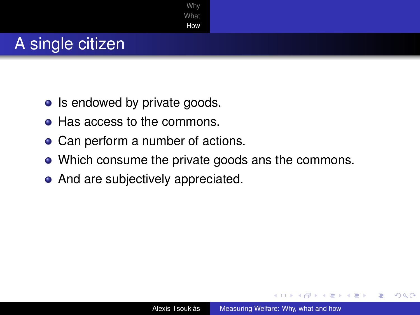<span id="page-7-0"></span>

- Is endowed by private goods.
- Has access to the commons.
- Can perform a number of actions.
- Which consume the private goods ans the commons.
- And are subjectively appreciated.

 $\leftarrow$   $\leftarrow$   $\leftarrow$ 

→ 重 → → 重 →

B

 $QQ$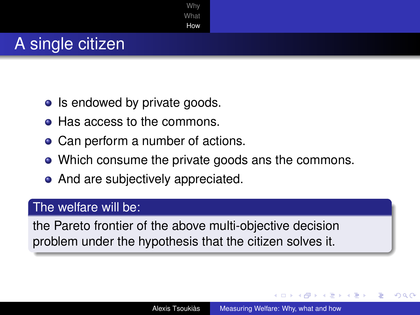

- Is endowed by private goods.
- Has access to the commons.
- Can perform a number of actions.
- Which consume the private goods ans the commons.
- And are subjectively appreciated.

#### The welfare will be:

the Pareto frontier of the above multi-objective decision problem under the hypothesis that the citizen solves it.

イロメ イ押 メイヨメ イヨメ

 $QQ$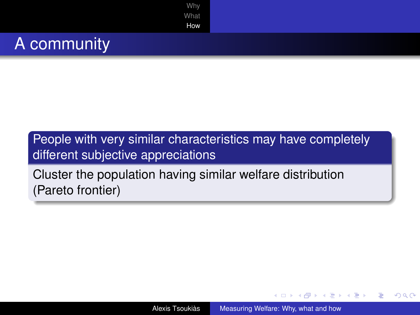

People with very similar characteristics may have completely different subjective appreciations

Cluster the population having similar welfare distribution (Pareto frontier)

イロト イ押 トイヨ トイヨト

÷.  $QQ$